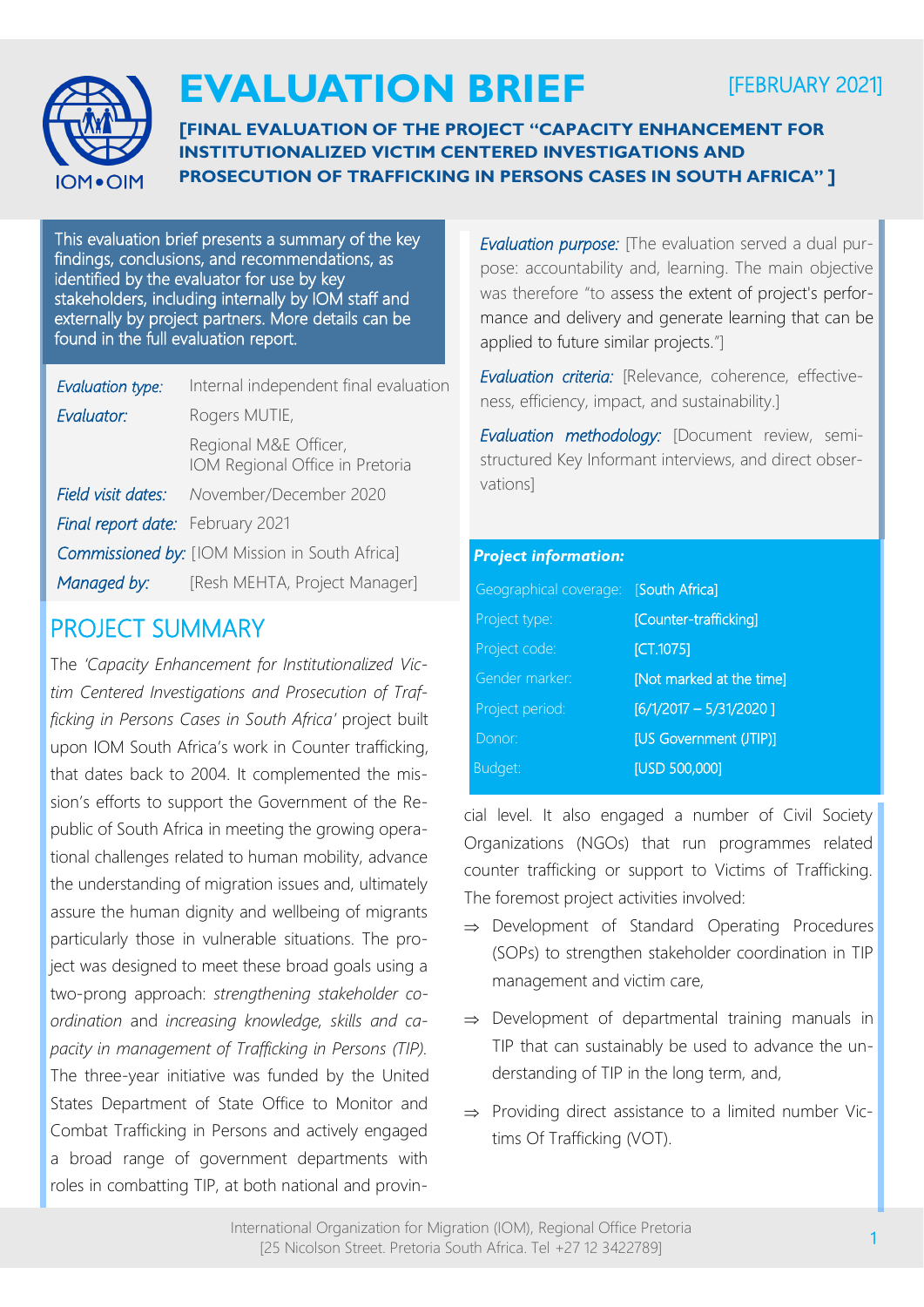

# **EVALUATION BRIEF**

## [FEBRUARY 2021]

**[FINAL EVALUATION OF THE PROJECT "CAPACITY ENHANCEMENT FOR INSTITUTIONALIZED VICTIM CENTERED INVESTIGATIONS AND PROSECUTION OF TRAFFICKING IN PERSONS CASES IN SOUTH AFRICA" ]**

This evaluation brief presents a summary of the key findings, conclusions, and recommendations, as identified by the evaluator for use by key stakeholders, including internally by IOM staff and externally by project partners. More details can be found in the full evaluation report.

| Evaluation type:                                      | Internal independent final evaluation                    |
|-------------------------------------------------------|----------------------------------------------------------|
| Evaluator:                                            | Rogers MUTIE,                                            |
|                                                       | Regional M&E Officer,<br>IOM Regional Office in Pretoria |
| Field visit dates:                                    | November/December 2020                                   |
| Final report date: February 2021                      |                                                          |
| <b>Commissioned by:</b> [IOM Mission in South Africa] |                                                          |
| Managed by:                                           | [Resh MEHTA, Project Manager]                            |
|                                                       |                                                          |

### PROJECT SUMMARY

The *'Capacity Enhancement for Institutionalized Victim Centered Investigations and Prosecution of Trafficking in Persons Cases in South Africa'* project built upon IOM South Africa's work in Counter trafficking, that dates back to 2004. It complemented the mission's efforts to support the Government of the Republic of South Africa in meeting the growing operational challenges related to human mobility, advance the understanding of migration issues and, ultimately assure the human dignity and wellbeing of migrants particularly those in vulnerable situations. The project was designed to meet these broad goals using a two-prong approach: *strengthening stakeholder coordination* and *increasing knowledge, skills and capacity in management of Trafficking in Persons (TIP).*  The three-year initiative was funded by the United States Department of State Office to Monitor and Combat Trafficking in Persons and actively engaged a broad range of government departments with roles in combatting TIP, at both national and provin*Evaluation purpose:* [The evaluation served a dual purpose: accountability and, learning. The main objective was therefore "to assess the extent of project's performance and delivery and generate learning that can be applied to future similar projects."]

*Evaluation criteria:* [Relevance, coherence, effectiveness, efficiency, impact, and sustainability.]

*Evaluation methodology:* [Document review, semistructured Key Informant interviews, and direct observations]

#### *Project information:*

| Geographical coverage: [South Africa] |                          |
|---------------------------------------|--------------------------|
| Project type:                         | [Counter-trafficking]    |
| Project code:                         | [CT.1075]                |
| Gender marker:                        | [Not marked at the time] |
| Project period:                       | $[6/1/2017 - 5/31/2020]$ |
| Donor:                                | [US Government (JTIP)]   |
| Budget:                               | <b>[USD 500,000]</b>     |

cial level. It also engaged a number of Civil Society Organizations (NGOs) that run programmes related counter trafficking or support to Victims of Trafficking. The foremost project activities involved:

- $\Rightarrow$  Development of Standard Operating Procedures (SOPs) to strengthen stakeholder coordination in TIP management and victim care,
- $\Rightarrow$  Development of departmental training manuals in TIP that can sustainably be used to advance the understanding of TIP in the long term, and,
- $\Rightarrow$  Providing direct assistance to a limited number Victims Of Trafficking (VOT).